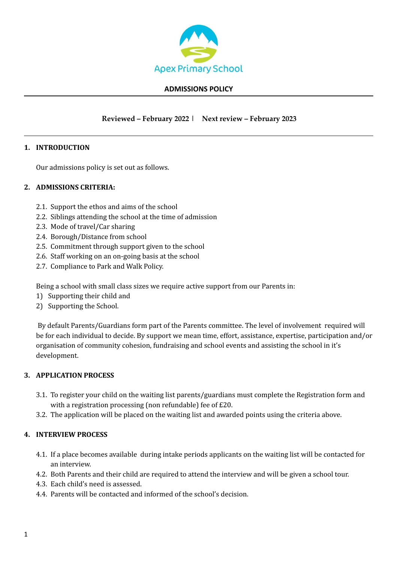

#### **ADMISSIONS POLICY**

# **Reviewed – February 2022 | Next review – February 2023**

# **1. INTRODUCTION**

Our admissions policy is set out as follows.

# **2. ADMISSIONS CRITERIA:**

- 2.1. Support the ethos and aims of the school
- 2.2. Siblings attending the school at the time of admission
- 2.3. Mode of travel/Car sharing
- 2.4. Borough/Distance from school
- 2.5. Commitment through support given to the school
- 2.6. Staff working on an on-going basis at the school
- 2.7. Compliance to Park and Walk Policy.

Being a school with small class sizes we require active support from our Parents in:

- 1) Supporting their child and
- 2) Supporting the School.

By default Parents/Guardians form part of the Parents committee. The level of involvement required will be for each individual to decide. By support we mean time, effort, assistance, expertise, participation and/or organisation of community cohesion, fundraising and school events and assisting the school in it's development.

# **3. APPLICATION PROCESS**

- 3.1. To register your child on the waiting list parents/guardians must complete the Registration form and with a registration processing (non refundable) fee of £20.
- 3.2. The application will be placed on the waiting list and awarded points using the criteria above.

#### **4. INTERVIEW PROCESS**

- 4.1. If a place becomes available during intake periods applicants on the waiting list will be contacted for an interview.
- 4.2. Both Parents and their child are required to attend the interview and will be given a school tour.
- 4.3. Each child's need is assessed.
- 4.4. Parents will be contacted and informed of the school's decision.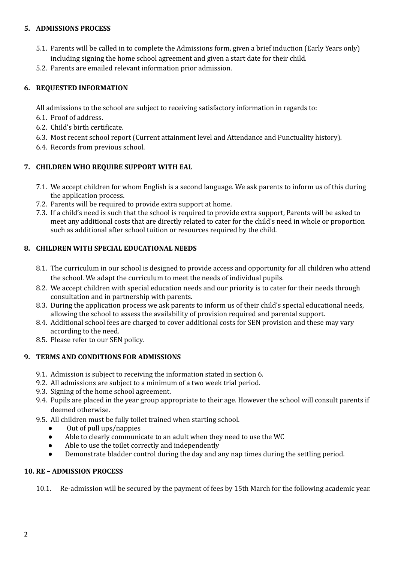# **5. ADMISSIONS PROCESS**

- 5.1. Parents will be called in to complete the Admissions form, given a brief induction (Early Years only) including signing the home school agreement and given a start date for their child.
- 5.2. Parents are emailed relevant information prior admission.

# **6. REQUESTED INFORMATION**

All admissions to the school are subject to receiving satisfactory information in regards to:

- 6.1. Proof of address.
- 6.2. Child's birth certificate.
- 6.3. Most recent school report (Current attainment level and Attendance and Punctuality history).
- 6.4. Records from previous school.

# **7. CHILDREN WHO REQUIRE SUPPORT WITH EAL**

- 7.1. We accept children for whom English is a second language. We ask parents to inform us of this during the application process.
- 7.2. Parents will be required to provide extra support at home.
- 7.3. If a child's need is such that the school is required to provide extra support, Parents will be asked to meet any additional costs that are directly related to cater for the child's need in whole or proportion such as additional after school tuition or resources required by the child.

# **8. CHILDREN WITH SPECIAL EDUCATIONAL NEEDS**

- 8.1. The curriculum in our school is designed to provide access and opportunity for all children who attend the school. We adapt the curriculum to meet the needs of individual pupils.
- 8.2. We accept children with special education needs and our priority is to cater for their needs through consultation and in partnership with parents.
- 8.3. During the application process we ask parents to inform us of their child's special educational needs, allowing the school to assess the availability of provision required and parental support.
- 8.4. Additional school fees are charged to cover additional costs for SEN provision and these may vary according to the need.
- 8.5. Please refer to our SEN policy.

# **9. TERMS AND CONDITIONS FOR ADMISSIONS**

- 9.1. Admission is subject to receiving the information stated in section 6.
- 9.2. All admissions are subject to a minimum of a two week trial period.
- 9.3. Signing of the home school agreement.
- 9.4. Pupils are placed in the year group appropriate to their age. However the school will consult parents if deemed otherwise.
- 9.5. All children must be fully toilet trained when starting school.
	- Out of pull ups/nappies
	- Able to clearly communicate to an adult when they need to use the WC
	- Able to use the toilet correctly and independently
	- Demonstrate bladder control during the day and any nap times during the settling period.

# **10. RE – ADMISSION PROCESS**

10.1. Re-admission will be secured by the payment of fees by 15th March for the following academic year.